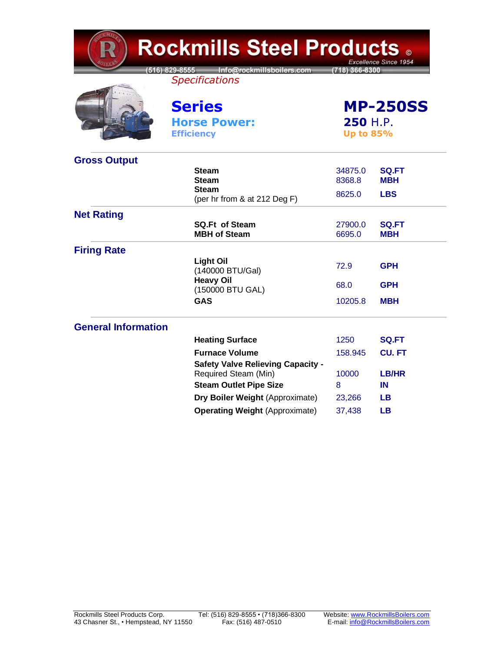| <b>Rockmills Steel Products.</b><br>Excellence Since 1954 |                                                                  |                                                 |                     |  |
|-----------------------------------------------------------|------------------------------------------------------------------|-------------------------------------------------|---------------------|--|
|                                                           | 516) 829-8555 Info@rockmillsboilers.com<br><b>Specifications</b> | (718) 366-8300                                  |                     |  |
|                                                           | <b>Series</b>                                                    | <b>MP-250SS</b><br>250 H.P.<br><b>Up to 85%</b> |                     |  |
|                                                           | <b>Horse Power:</b>                                              |                                                 |                     |  |
|                                                           | <b>Efficiency</b>                                                |                                                 |                     |  |
| <b>Gross Output</b>                                       |                                                                  |                                                 |                     |  |
|                                                           | <b>Steam</b>                                                     | 34875.0                                         | <b>SQ.FT</b>        |  |
|                                                           | <b>Steam</b><br><b>Steam</b>                                     | 8368.8                                          | <b>MBH</b>          |  |
|                                                           | (per hr from & at 212 Deg F)                                     | 8625.0                                          | <b>LBS</b>          |  |
| <b>Net Rating</b>                                         |                                                                  |                                                 |                     |  |
|                                                           | <b>SQ.Ft of Steam</b><br><b>MBH of Steam</b>                     | 27900.0<br>6695.0                               | <b>SQ.FT</b><br>мвн |  |
| <b>Firing Rate</b>                                        |                                                                  |                                                 |                     |  |
|                                                           | <b>Light Oil</b><br>(140000 BTU/Gal)                             | 72.9                                            | <b>GPH</b>          |  |
|                                                           | <b>Heavy Oil</b><br>(150000 BTU GAL)                             | 68.0                                            | <b>GPH</b>          |  |
|                                                           | <b>GAS</b>                                                       | 10205.8                                         | <b>MBH</b>          |  |
| <b>General Information</b>                                |                                                                  |                                                 |                     |  |
|                                                           | <b>Heating Surface</b>                                           | 1250                                            | <b>SQ.FT</b>        |  |
|                                                           | <b>Furnace Volume</b>                                            | 158.945                                         | <b>CU.FT</b>        |  |
|                                                           | <b>Safety Valve Relieving Capacity -</b>                         |                                                 |                     |  |
|                                                           | Required Steam (Min)                                             | 10000                                           | LB/HR               |  |
|                                                           | <b>Steam Outlet Pipe Size</b>                                    | 8                                               | IN                  |  |
|                                                           | Dry Boiler Weight (Approximate)                                  | 23,266                                          | LВ                  |  |
|                                                           | <b>Operating Weight (Approximate)</b>                            | 37,438                                          | LВ                  |  |